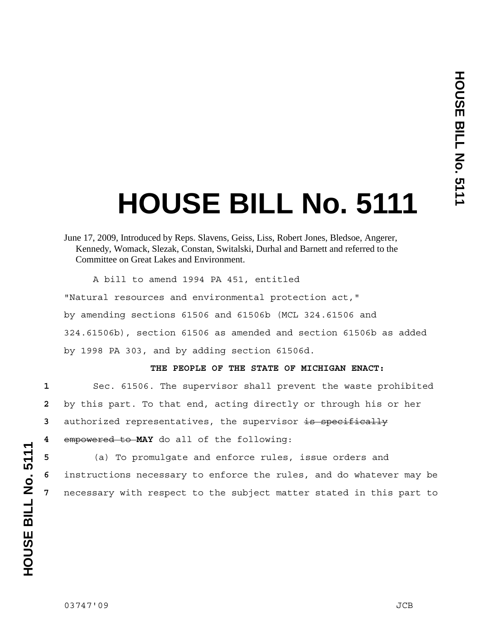## **HOUSE BILL No. 5111**

June 17, 2009, Introduced by Reps. Slavens, Geiss, Liss, Robert Jones, Bledsoe, Angerer, Kennedy, Womack, Slezak, Constan, Switalski, Durhal and Barnett and referred to the Committee on Great Lakes and Environment.

A bill to amend 1994 PA 451, entitled

"Natural resources and environmental protection act," by amending sections 61506 and 61506b (MCL 324.61506 and 324.61506b), section 61506 as amended and section 61506b as added by 1998 PA 303, and by adding section 61506d.

## **THE PEOPLE OF THE STATE OF MICHIGAN ENACT:**

Sec. 61506. The supervisor shall prevent the waste prohibited by this part. To that end, acting directly or through his or her authorized representatives, the supervisor is specifically empowered to **MAY** do all of the following:

**5** (a) To promulgate and enforce rules, issue orders and **6** instructions necessary to enforce the rules, and do whatever may be **7** necessary with respect to the subject matter stated in this part to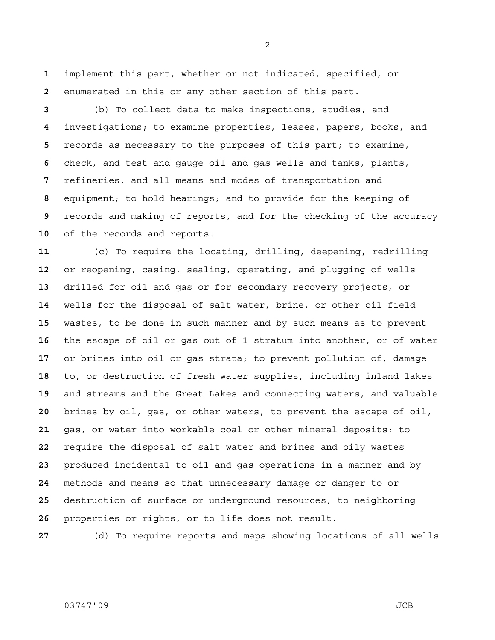implement this part, whether or not indicated, specified, or enumerated in this or any other section of this part.

(b) To collect data to make inspections, studies, and investigations; to examine properties, leases, papers, books, and records as necessary to the purposes of this part; to examine, check, and test and gauge oil and gas wells and tanks, plants, refineries, and all means and modes of transportation and equipment; to hold hearings; and to provide for the keeping of records and making of reports, and for the checking of the accuracy of the records and reports.

(c) To require the locating, drilling, deepening, redrilling or reopening, casing, sealing, operating, and plugging of wells drilled for oil and gas or for secondary recovery projects, or wells for the disposal of salt water, brine, or other oil field wastes, to be done in such manner and by such means as to prevent the escape of oil or gas out of 1 stratum into another, or of water or brines into oil or gas strata; to prevent pollution of, damage to, or destruction of fresh water supplies, including inland lakes and streams and the Great Lakes and connecting waters, and valuable brines by oil, gas, or other waters, to prevent the escape of oil, gas, or water into workable coal or other mineral deposits; to require the disposal of salt water and brines and oily wastes produced incidental to oil and gas operations in a manner and by methods and means so that unnecessary damage or danger to or destruction of surface or underground resources, to neighboring properties or rights, or to life does not result.

(d) To require reports and maps showing locations of all wells

## 03747'09 JCB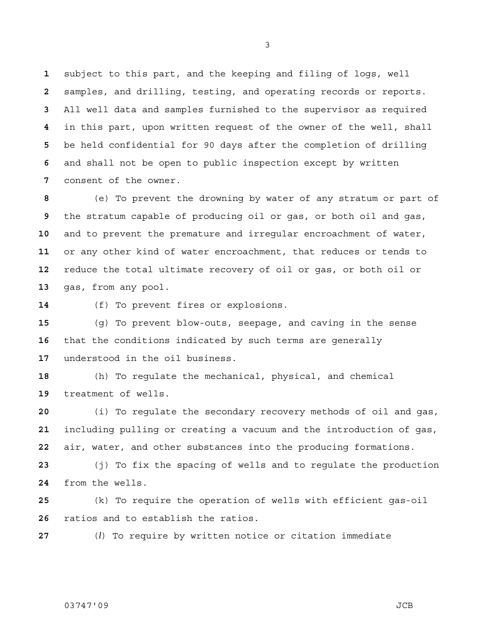subject to this part, and the keeping and filing of logs, well samples, and drilling, testing, and operating records or reports. All well data and samples furnished to the supervisor as required in this part, upon written request of the owner of the well, shall be held confidential for 90 days after the completion of drilling and shall not be open to public inspection except by written consent of the owner.

(e) To prevent the drowning by water of any stratum or part of the stratum capable of producing oil or gas, or both oil and gas, and to prevent the premature and irregular encroachment of water, or any other kind of water encroachment, that reduces or tends to reduce the total ultimate recovery of oil or gas, or both oil or gas, from any pool.

(f) To prevent fires or explosions.

(g) To prevent blow-outs, seepage, and caving in the sense that the conditions indicated by such terms are generally understood in the oil business.

(h) To regulate the mechanical, physical, and chemical treatment of wells.

(i) To regulate the secondary recovery methods of oil and gas, including pulling or creating a vacuum and the introduction of gas, air, water, and other substances into the producing formations.

(j) To fix the spacing of wells and to regulate the production from the wells.

(k) To require the operation of wells with efficient gas-oil ratios and to establish the ratios.

(*l*) To require by written notice or citation immediate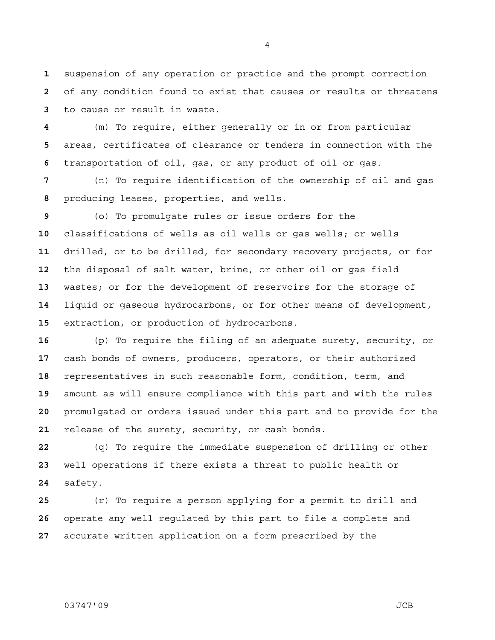suspension of any operation or practice and the prompt correction of any condition found to exist that causes or results or threatens to cause or result in waste.

(m) To require, either generally or in or from particular areas, certificates of clearance or tenders in connection with the transportation of oil, gas, or any product of oil or gas.

(n) To require identification of the ownership of oil and gas producing leases, properties, and wells.

(o) To promulgate rules or issue orders for the classifications of wells as oil wells or gas wells; or wells drilled, or to be drilled, for secondary recovery projects, or for the disposal of salt water, brine, or other oil or gas field wastes; or for the development of reservoirs for the storage of liquid or gaseous hydrocarbons, or for other means of development, extraction, or production of hydrocarbons.

(p) To require the filing of an adequate surety, security, or cash bonds of owners, producers, operators, or their authorized representatives in such reasonable form, condition, term, and amount as will ensure compliance with this part and with the rules promulgated or orders issued under this part and to provide for the release of the surety, security, or cash bonds.

(q) To require the immediate suspension of drilling or other well operations if there exists a threat to public health or safety.

(r) To require a person applying for a permit to drill and operate any well regulated by this part to file a complete and accurate written application on a form prescribed by the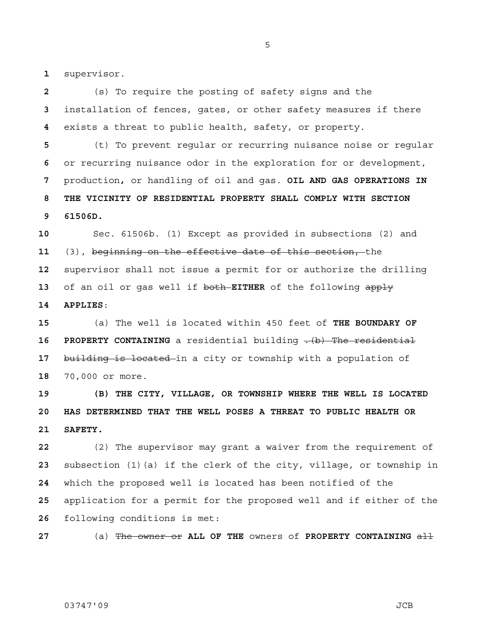supervisor.

(s) To require the posting of safety signs and the installation of fences, gates, or other safety measures if there exists a threat to public health, safety, or property.

(t) To prevent regular or recurring nuisance noise or regular or recurring nuisance odor in the exploration for or development, production**,** or handling of oil and gas. **OIL AND GAS OPERATIONS IN 8 THE VICINITY OF RESIDENTIAL PROPERTY SHALL COMPLY WITH SECTION 9 61506D.**

Sec. 61506b. (1) Except as provided in subsections (2) and (3), beginning on the effective date of this section, the supervisor shall not issue a permit for or authorize the drilling of an oil or gas well if both **EITHER** of the following apply **14 APPLIES**:

(a) The well is located within 450 feet of **THE BOUNDARY OF 16 PROPERTY CONTAINING** a residential building  $-(b)$  The residential building is located in a city or township with a population of 70,000 or more.

**19 (B) THE CITY, VILLAGE, OR TOWNSHIP WHERE THE WELL IS LOCATED 20 HAS DETERMINED THAT THE WELL POSES A THREAT TO PUBLIC HEALTH OR 21 SAFETY.**

(2) The supervisor may grant a waiver from the requirement of subsection (1)(a) if the clerk of the city, village, or township in which the proposed well is located has been notified of the application for a permit for the proposed well and if either of the following conditions is met:

(a) The owner or **ALL OF THE** owners of **PROPERTY CONTAINING** all